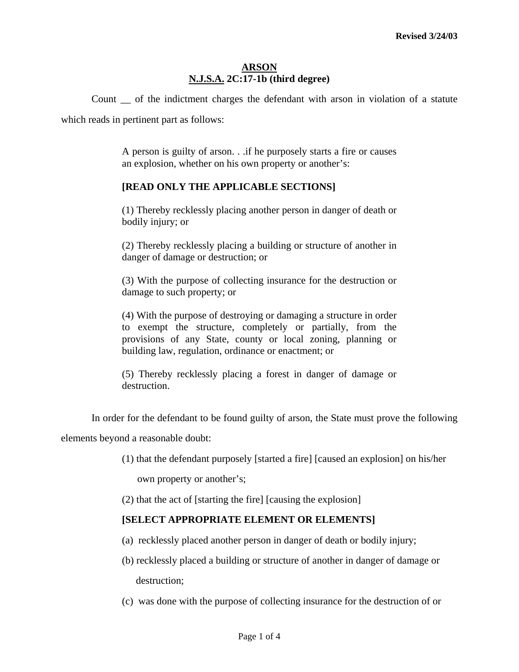#### **ARSON N.J.S.A. 2C:17-1b (third degree)**

Count \_\_ of the indictment charges the defendant with arson in violation of a statute which reads in pertinent part as follows:

> A person is guilty of arson. . .if he purposely starts a fire or causes an explosion, whether on his own property or another's:

## **[READ ONLY THE APPLICABLE SECTIONS]**

(1) Thereby recklessly placing another person in danger of death or bodily injury; or

(2) Thereby recklessly placing a building or structure of another in danger of damage or destruction; or

(3) With the purpose of collecting insurance for the destruction or damage to such property; or

(4) With the purpose of destroying or damaging a structure in order to exempt the structure, completely or partially, from the provisions of any State, county or local zoning, planning or building law, regulation, ordinance or enactment; or

(5) Thereby recklessly placing a forest in danger of damage or destruction.

In order for the defendant to be found guilty of arson, the State must prove the following

elements beyond a reasonable doubt:

(1) that the defendant purposely [started a fire] [caused an explosion] on his/her

own property or another's;

(2) that the act of [starting the fire] [causing the explosion]

#### **[SELECT APPROPRIATE ELEMENT OR ELEMENTS]**

- (a) recklessly placed another person in danger of death or bodily injury;
- (b) recklessly placed a building or structure of another in danger of damage or destruction;
- (c) was done with the purpose of collecting insurance for the destruction of or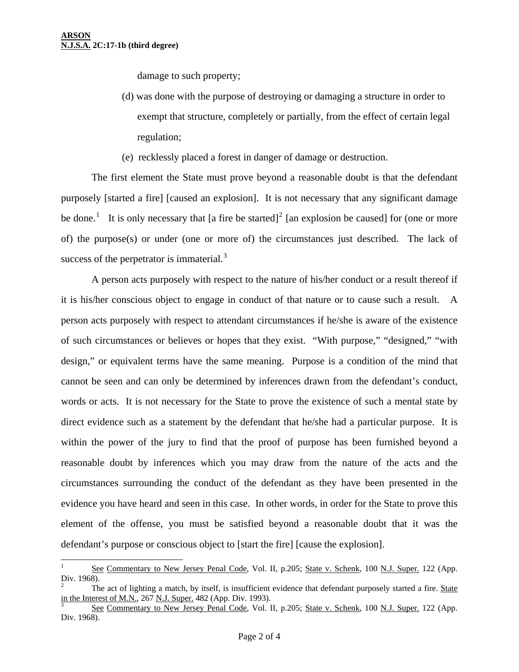l

damage to such property;

- (d) was done with the purpose of destroying or damaging a structure in order to exempt that structure, completely or partially, from the effect of certain legal regulation;
- (e) recklessly placed a forest in danger of damage or destruction.

 The first element the State must prove beyond a reasonable doubt is that the defendant purposely [started a fire] [caused an explosion]. It is not necessary that any significant damage be done.<sup>[1](#page-2-0)</sup> It is only necessary that [a fire be started]<sup>[2](#page-1-0)</sup> [an explosion be caused] for (one or more of) the purpose(s) or under (one or more of) the circumstances just described. The lack of success of the perpetrator is immaterial. $3$ 

 A person acts purposely with respect to the nature of his/her conduct or a result thereof if it is his/her conscious object to engage in conduct of that nature or to cause such a result. A person acts purposely with respect to attendant circumstances if he/she is aware of the existence of such circumstances or believes or hopes that they exist. "With purpose," "designed," "with design," or equivalent terms have the same meaning. Purpose is a condition of the mind that cannot be seen and can only be determined by inferences drawn from the defendant's conduct, words or acts. It is not necessary for the State to prove the existence of such a mental state by direct evidence such as a statement by the defendant that he/she had a particular purpose. It is within the power of the jury to find that the proof of purpose has been furnished beyond a reasonable doubt by inferences which you may draw from the nature of the acts and the circumstances surrounding the conduct of the defendant as they have been presented in the evidence you have heard and seen in this case. In other words, in order for the State to prove this element of the offense, you must be satisfied beyond a reasonable doubt that it was the defendant's purpose or conscious object to [start the fire] [cause the explosion].

<sup>1</sup> See Commentary to New Jersey Penal Code, Vol. II, p.205; State v. Schenk, 100 N.J. Super. 122 (App. Div. 1968).

<span id="page-1-0"></span><sup>2</sup> The act of lighting a match, by itself, is insufficient evidence that defendant purposely started a fire. State in the Interest of M.N., 267 N.J. Super. 482 (App. Div. 1993).

<span id="page-1-1"></span>See Commentary to New Jersey Penal Code, Vol. II, p.205; State v. Schenk, 100 N.J. Super. 122 (App. Div. 1968).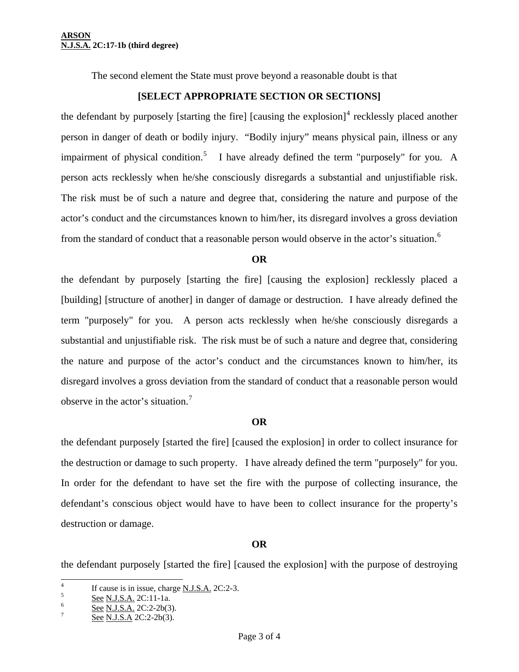The second element the State must prove beyond a reasonable doubt is that

### **[SELECT APPROPRIATE SECTION OR SECTIONS]**

the defendant by purposely [starting the fire] [causing the explosion] $4$  recklessly placed another person in danger of death or bodily injury. "Bodily injury" means physical pain, illness or any impairment of physical condition.<sup>[5](#page-2-1)</sup> I have already defined the term "purposely" for you. A person acts recklessly when he/she consciously disregards a substantial and unjustifiable risk. The risk must be of such a nature and degree that, considering the nature and purpose of the actor's conduct and the circumstances known to him/her, its disregard involves a gross deviation from the standard of conduct that a reasonable person would observe in the actor's situation.<sup>[6](#page-2-2)</sup>

#### **OR**

the defendant by purposely [starting the fire] [causing the explosion] recklessly placed a [building] [structure of another] in danger of damage or destruction. I have already defined the term "purposely" for you. A person acts recklessly when he/she consciously disregards a substantial and unjustifiable risk. The risk must be of such a nature and degree that, considering the nature and purpose of the actor's conduct and the circumstances known to him/her, its disregard involves a gross deviation from the standard of conduct that a reasonable person would observe in the actor's situation.[7](#page-2-3)

#### **OR**

the defendant purposely [started the fire] [caused the explosion] in order to collect insurance for the destruction or damage to such property. I have already defined the term "purposely" for you. In order for the defendant to have set the fire with the purpose of collecting insurance, the defendant's conscious object would have to have been to collect insurance for the property's destruction or damage.

# **OR**

<span id="page-2-0"></span>the defendant purposely [started the fire] [caused the explosion] with the purpose of destroying

<span id="page-2-4"></span> $\frac{1}{4}$ <sup>4</sup> If cause is in issue, charge <u>N.J.S.A.</u> 2C:2-3.

<span id="page-2-1"></span> $\frac{See}{S}$  See N.J.S.A. 2C:11-1a.

<span id="page-2-3"></span><span id="page-2-2"></span> $\frac{6}{7}$  See N.J.S.A. 2C:2-2b(3).

See N.J.S.A 2C:2-2b(3).